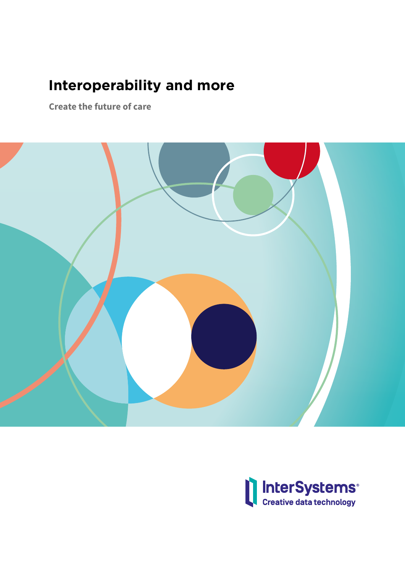# **Interoperability and more**

**Create the future of care**



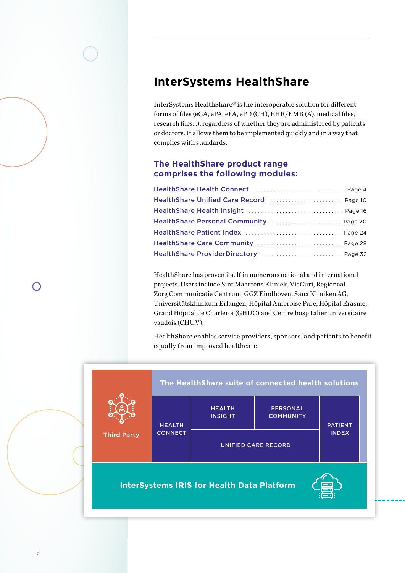# **InterSystems HealthShare**

InterSystems HealthShare® is the interoperable solution for different forms of files (eGA, ePA, eFA, ePD (CH), EHR/EMR (A), medical files, research files…), regardless of whether they are administered by patients or doctors. It allows them to be implemented quickly and in a way that complies with standards.

## **The HealthShare product range comprises the following modules:**

| Health Share Unified Care Record  Page 10          |  |
|----------------------------------------------------|--|
|                                                    |  |
| Health Share Personal Community Manuscript Rage 20 |  |
|                                                    |  |
|                                                    |  |
| HealthShare ProviderDirectory  Page 32             |  |

HealthShare has proven itself in numerous national and international projects. Users include Sint Maartens Kliniek, VieCuri, Regionaal Zorg Communicatie Centrum, GGZ Eindhoven, Sana Kliniken AG, Universitätsklinikum Erlangen, Hôpital Ambroise Paré, Hôpital Erasme, Grand Hôpital de Charleroi (GHDC) and Centre hospitalier universitaire vaudois (CHUV).

HealthShare enables service providers, sponsors, and patients to benefit equally from improved healthcare.



 $\bigcap$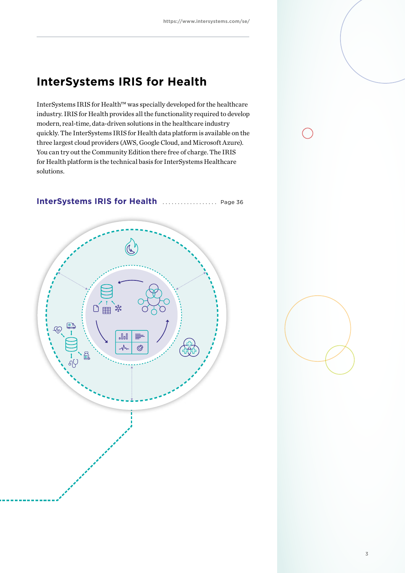# **InterSystems IRIS for Health**

InterSystems IRIS for Health™ was specially developed for the healthcare industry. IRIS for Health provides all the functionality required to develop modern, real-time, data-driven solutions in the healthcare industry quickly. The InterSystems IRIS for Health data platform is available on the three largest cloud providers (AWS, Google Cloud, and Microsoft Azure). You can try out the Community Edition there free of charge. The IRIS for Health platform is the technical basis for InterSystems Healthcare solutions.



## **InterSystems IRIS for Health** . . . . . . . . . . . . . . . . . . Page 36

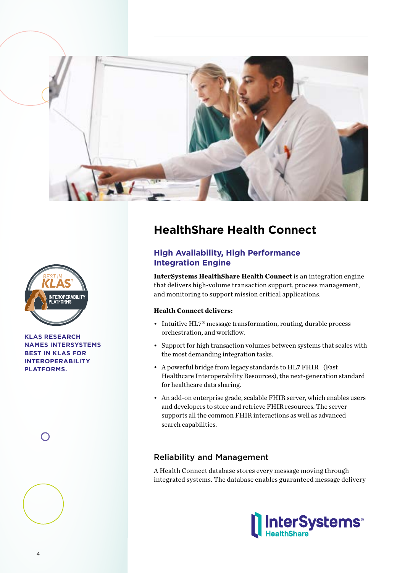



**KLAS RESEARCH NAMES INTERSYSTEMS BEST IN KLAS FOR INTEROPERABILITY PLATFORMS.**



# **HealthShare Health Connect**

# **High Availability, High Performance Integration Engine**

**InterSystems HealthShare Health Connect** is an integration engine that delivers high-volume transaction support, process management, and monitoring to support mission critical applications.

### **Health Connect delivers:**

- Intuitive HL7<sup>®</sup> message transformation, routing, durable process orchestration, and workflow.
- Support for high transaction volumes between systems that scales with the most demanding integration tasks.
- A powerful bridge from legacy standards to HL7 FHIR (Fast Healthcare Interoperability Resources), the next-generation standard for healthcare data sharing.
- An add-on enterprise grade, scalable FHIR server, which enables users and developers to store and retrieve FHIR resources. The server supports all the common FHIR interactions as well as advanced search capabilities.

# Reliability and Management

A Health Connect database stores every message moving through integrated systems. The database enables guaranteed message delivery

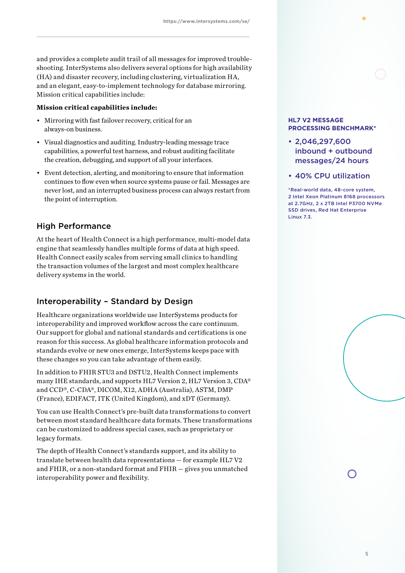and provides a complete audit trail of all messages for improved troubleshooting. InterSystems also delivers several options for high availability (HA) and disaster recovery, including clustering, virtualization HA, and an elegant, easy-to-implement technology for database mirroring. Mission critical capabilities include:

### **Mission critical capabilities include:**

- Mirroring with fast failover recovery, critical for an always-on business.
- Visual diagnostics and auditing. Industry-leading message trace capabilities, a powerful test harness, and robust auditing facilitate the creation, debugging, and support of all your interfaces.
- Event detection, alerting, and monitoring to ensure that information continues to flow even when source systems pause or fail. Messages are never lost, and an interrupted business process can always restart from the point of interruption.

### High Performance

At the heart of Health Connect is a high performance, multi-model data engine that seamlessly handles multiple forms of data at high speed. Health Connect easily scales from serving small clinics to handling the transaction volumes of the largest and most complex healthcare delivery systems in the world.

## Interoperability – Standard by Design

Healthcare organizations worldwide use InterSystems products for interoperability and improved workflow across the care continuum. Our support for global and national standards and certifications is one reason for this success. As global healthcare information protocols and standards evolve or new ones emerge, InterSystems keeps pace with these changes so you can take advantage of them easily.

In addition to FHIR STU3 and DSTU2, Health Connect implements many IHE standards, and supports HL7 Version 2, HL7 Version 3, CDA® and CCD®, C-CDA®, DICOM, X12, ADHA (Australia), ASTM, DMP (France), EDIFACT, ITK (United Kingdom), and xDT (Germany).

You can use Health Connect's pre-built data transformations to convert between most standard healthcare data formats. These transformations can be customized to address special cases, such as proprietary or legacy formats.

The depth of Health Connect's standards support, and its ability to translate between health data representations — for example HL7 V2 and FHIR, or a non-standard format and FHIR — gives you unmatched interoperability power and flexibility.

### **HL7 V2 MESSAGE PROCESSING BENCHMARK\***

- 2,046,297,600 inbound + outbound messages/24 hours
- 40% CPU utilization

\*Real-world data, 48-core system, 2 Intel Xeon Platinum 8168 processors at 2.7GHz, 2 x 2TB Intel P3700 NVMe SSD drives, Red Hat Enterprise Linux 7.3.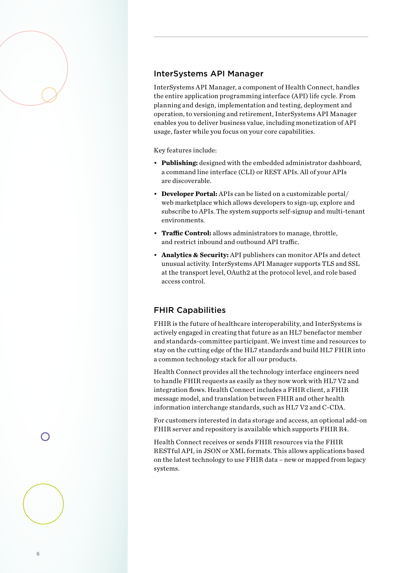## InterSystems API Manager

InterSystems API Manager, a component of Health Connect, handles the entire application programming interface (API) life cycle. From planning and design, implementation and testing, deployment and operation, to versioning and retirement, InterSystems API Manager enables you to deliver business value, including monetization of API usage, faster while you focus on your core capabilities.

Key features include:

- **Publishing:** designed with the embedded administrator dashboard, a command line interface (CLI) or REST APIs. All of your APIs are discoverable.
- **Developer Portal:** APIs can be listed on a customizable portal/ web marketplace which allows developers to sign-up, explore and subscribe to APIs. The system supports self-signup and multi-tenant environments.
- **Traffic Control:** allows administrators to manage, throttle, and restrict inbound and outbound API traffic.
- **Analytics & Security:** API publishers can monitor APIs and detect unusual activity. InterSystems API Manager supports TLS and SSL at the transport level, OAuth2 at the protocol level, and role based access control.

## FHIR Capabilities

FHIR is the future of healthcare interoperability, and InterSystems is actively engaged in creating that future as an HL7 benefactor member and standards-committee participant. We invest time and resources to stay on the cutting edge of the HL7 standards and build HL7 FHIR into a common technology stack for all our products.

Health Connect provides all the technology interface engineers need to handle FHIR requests as easily as they now work with HL7 V2 and integration flows. Health Connect includes a FHIR client, a FHIR message model, and translation between FHIR and other health information interchange standards, such as HL7 V2 and C-CDA.

For customers interested in data storage and access, an optional add-on FHIR server and repository is available which supports FHIR R4.

Health Connect receives or sends FHIR resources via the FHIR RESTful API, in JSON or XML formats. This allows applications based on the latest technology to use FHIR data – new or mapped from legacy systems.

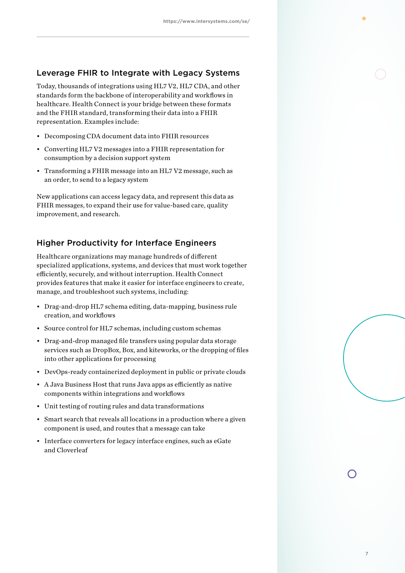### Leverage FHIR to Integrate with Legacy Systems

Today, thousands of integrations using HL7 V2, HL7 CDA, and other standards form the backbone of interoperability and workflows in healthcare. Health Connect is your bridge between these formats and the FHIR standard, transforming their data into a FHIR representation. Examples include:

- Decomposing CDA document data into FHIR resources
- Converting HL7 V2 messages into a FHIR representation for consumption by a decision support system
- Transforming a FHIR message into an HL7 V2 message, such as an order, to send to a legacy system

New applications can access legacy data, and represent this data as FHIR messages, to expand their use for value-based care, quality improvement, and research.

## Higher Productivity for Interface Engineers

Healthcare organizations may manage hundreds of different specialized applications, systems, and devices that must work together efficiently, securely, and without interruption. Health Connect provides features that make it easier for interface engineers to create, manage, and troubleshoot such systems, including:

- Drag-and-drop HL7 schema editing, data-mapping, business rule creation, and workflows
- Source control for HL7 schemas, including custom schemas
- Drag-and-drop managed file transfers using popular data storage services such as DropBox, Box, and kiteworks, or the dropping of files into other applications for processing
- DevOps-ready containerized deployment in public or private clouds
- A Java Business Host that runs Java apps as efficiently as native components within integrations and workflows
- Unit testing of routing rules and data transformations
- Smart search that reveals all locations in a production where a given component is used, and routes that a message can take
- Interface converters for legacy interface engines, such as eGate and Cloverleaf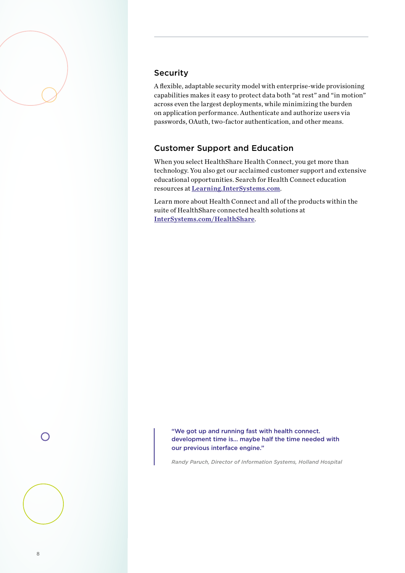## Security

A flexible, adaptable security model with enterprise-wide provisioning capabilities makes it easy to protect data both "at rest" and "in motion" across even the largest deployments, while minimizing the burden on application performance. Authenticate and authorize users via passwords, OAuth, two-factor authentication, and other means.

## Customer Support and Education

When you select HealthShare Health Connect, you get more than technology. You also get our acclaimed customer support and extensive educational opportunities. Search for Health Connect education resources at Learning.InterSystems.com.

Learn more about Health Connect and all of the products within the suite of HealthShare connected health solutions at InterSystems.com/HealthShare.

 $\bigcap$ 

"We got up and running fast with health connect. development time is… maybe half the time needed with our previous interface engine."

*Randy Paruch, Director of Information Systems, Holland Hospital*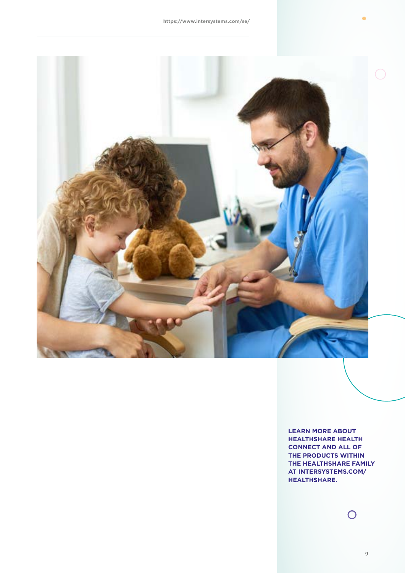

**LEARN MORE ABOUT HEALTHSHARE HEALTH CONNECT AND ALL OF THE PRODUCTS WITHIN THE HEALTHSHARE FAMILY AT INTERSYSTEMS.COM/ HEALTHSHARE.**

 $\overline{O}$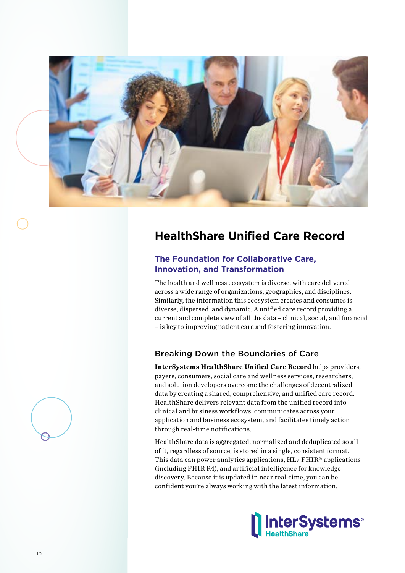

# **HealthShare Unified Care Record**

# **The Foundation for Collaborative Care, Innovation, and Transformation**

The health and wellness ecosystem is diverse, with care delivered across a wide range of organizations, geographies, and disciplines. Similarly, the information this ecosystem creates and consumes is diverse, dispersed, and dynamic. A unified care record providing a current and complete view of all the data – clinical, social, and financial – is key to improving patient care and fostering innovation.

# Breaking Down the Boundaries of Care

**InterSystems HealthShare Unified Care Record** helps providers, payers, consumers, social care and wellness services, researchers, and solution developers overcome the challenges of decentralized data by creating a shared, comprehensive, and unified care record. HealthShare delivers relevant data from the unified record into clinical and business workflows, communicates across your application and business ecosystem, and facilitates timely action through real-time notifications.

HealthShare data is aggregated, normalized and deduplicated so all of it, regardless of source, is stored in a single, consistent format. This data can power analytics applications, HL7 FHIR® applications (including FHIR R4), and artificial intelligence for knowledge discovery. Because it is updated in near real-time, you can be confident you're always working with the latest information.



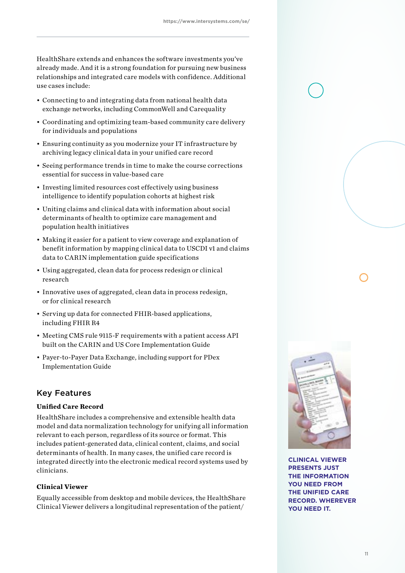HealthShare extends and enhances the software investments you've already made. And it is a strong foundation for pursuing new business relationships and integrated care models with confidence. Additional use cases include:

- Connecting to and integrating data from national health data exchange networks, including CommonWell and Carequality
- Coordinating and optimizing team-based community care delivery for individuals and populations
- Ensuring continuity as you modernize your IT infrastructure by archiving legacy clinical data in your unified care record
- Seeing performance trends in time to make the course corrections essential for success in value-based care
- Investing limited resources cost effectively using business intelligence to identify population cohorts at highest risk
- Uniting claims and clinical data with information about social determinants of health to optimize care management and population health initiatives
- Making it easier for a patient to view coverage and explanation of benefit information by mapping clinical data to USCDI v1 and claims data to CARIN implementation guide specifications
- Using aggregated, clean data for process redesign or clinical research
- Innovative uses of aggregated, clean data in process redesign, or for clinical research
- Serving up data for connected FHIR-based applications, including FHIR R4
- Meeting CMS rule 9115-F requirements with a patient access API built on the CARIN and US Core Implementation Guide
- Payer-to-Payer Data Exchange, including support for PDex Implementation Guide

## Key Features

### **Unified Care Record**

HealthShare includes a comprehensive and extensible health data model and data normalization technology for unifying all information relevant to each person, regardless of its source or format. This includes patient-generated data, clinical content, claims, and social determinants of health. In many cases, the unified care record is integrated directly into the electronic medical record systems used by clinicians.

### **Clinical Viewer**

Equally accessible from desktop and mobile devices, the HealthShare Clinical Viewer delivers a longitudinal representation of the patient/



**CLINICAL VIEWER PRESENTS JUST THE INFORMATION YOU NEED FROM THE UNIFIED CARE RECORD. WHEREVER YOU NEED IT.**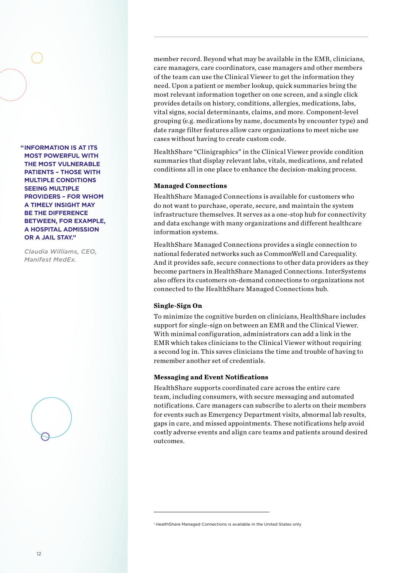**INFORMATION IS AT ITS "MOST POWERFUL WITH THE MOST VULNERABLE PATIENTS – THOSE WITH MULTIPLE CONDITIONS SEEING MULTIPLE PROVIDERS – FOR WHOM A TIMELY INSIGHT MAY BE THE DIFFERENCE BETWEEN, FOR EXAMPLE, A HOSPITAL ADMISSION OR A JAIL STAY."**

*Claudia Williams, CEO, Manifest MedEx.*



member record. Beyond what may be available in the EMR, clinicians, care managers, care coordinators, case managers and other members of the team can use the Clinical Viewer to get the information they need. Upon a patient or member lookup, quick summaries bring the most relevant information together on one screen, and a single click provides details on history, conditions, allergies, medications, labs, vital signs, social determinants, claims, and more. Component-level grouping (e.g. medications by name, documents by encounter type) and date range filter features allow care organizations to meet niche use cases without having to create custom code.

HealthShare "Clinigraphics" in the Clinical Viewer provide condition summaries that display relevant labs, vitals, medications, and related conditions all in one place to enhance the decision-making process.

### **Managed Connections**

HealthShare Managed Connections is available for customers who do not want to purchase, operate, secure, and maintain the system infrastructure themselves. It serves as a one-stop hub for connectivity and data exchange with many organizations and different healthcare information systems.

HealthShare Managed Connections provides a single connection to national federated networks such as CommonWell and Carequality. And it provides safe, secure connections to other data providers as they become partners in HealthShare Managed Connections. InterSystems also offers its customers on-demand connections to organizations not connected to the HealthShare Managed Connections hub.

### **Single-Sign On**

To minimize the cognitive burden on clinicians, HealthShare includes support for single-sign on between an EMR and the Clinical Viewer. With minimal configuration, administrators can add a link in the EMR which takes clinicians to the Clinical Viewer without requiring a second log in. This saves clinicians the time and trouble of having to remember another set of credentials.

### **Messaging and Event Notifications**

HealthShare supports coordinated care across the entire care team, including consumers, with secure messaging and automated notifications. Care managers can subscribe to alerts on their members for events such as Emergency Department visits, abnormal lab results, gaps in care, and missed appointments. These notifications help avoid costly adverse events and align care teams and patients around desired outcomes.

1 HealthShare Managed Connections is available in the United States only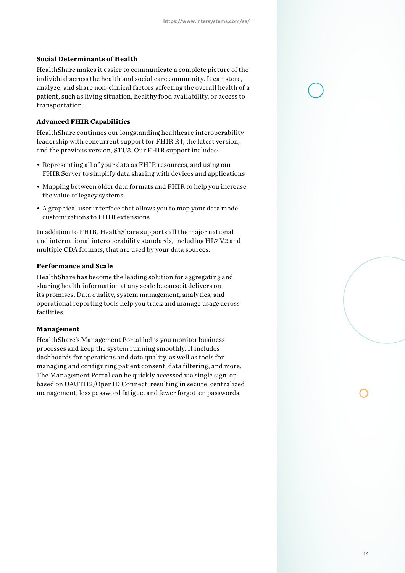### **Social Determinants of Health**

HealthShare makes it easier to communicate a complete picture of the individual across the health and social care community. It can store, analyze, and share non-clinical factors affecting the overall health of a patient, such as living situation, healthy food availability, or access to transportation.

### **Advanced FHIR Capabilities**

HealthShare continues our longstanding healthcare interoperability leadership with concurrent support for FHIR R4, the latest version, and the previous version, STU3. Our FHIR support includes:

- Representing all of your data as FHIR resources, and using our FHIR Server to simplify data sharing with devices and applications
- Mapping between older data formats and FHIR to help you increase the value of legacy systems
- A graphical user interface that allows you to map your data model customizations to FHIR extensions

In addition to FHIR, HealthShare supports all the major national and international interoperability standards, including HL7 V2 and multiple CDA formats, that are used by your data sources.

### **Performance and Scale**

HealthShare has become the leading solution for aggregating and sharing health information at any scale because it delivers on its promises. Data quality, system management, analytics, and operational reporting tools help you track and manage usage across facilities.

### **Management**

HealthShare's Management Portal helps you monitor business processes and keep the system running smoothly. It includes dashboards for operations and data quality, as well as tools for managing and configuring patient consent, data filtering, and more. The Management Portal can be quickly accessed via single sign-on based on OAUTH2/OpenID Connect, resulting in secure, centralized management, less password fatigue, and fewer forgotten passwords.

13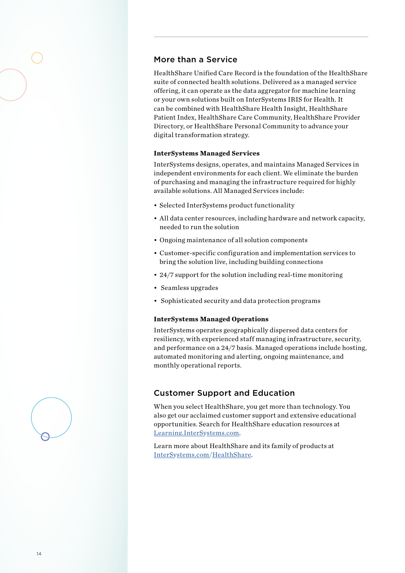### More than a Service

HealthShare Unified Care Record is the foundation of the HealthShare suite of connected health solutions. Delivered as a managed service offering, it can operate as the data aggregator for machine learning or your own solutions built on InterSystems IRIS for Health. It can be combined with HealthShare Health Insight, HealthShare Patient Index, HealthShare Care Community, HealthShare Provider Directory, or HealthShare Personal Community to advance your digital transformation strategy.

### **InterSystems Managed Services**

InterSystems designs, operates, and maintains Managed Services in independent environments for each client. We eliminate the burden of purchasing and managing the infrastructure required for highly available solutions. All Managed Services include:

- Selected InterSystems product functionality
- All data center resources, including hardware and network capacity, needed to run the solution
- Ongoing maintenance of all solution components
- Customer-specific configuration and implementation services to bring the solution live, including building connections
- 24/7 support for the solution including real-time monitoring
- Seamless upgrades
- Sophisticated security and data protection programs

### **InterSystems Managed Operations**

InterSystems operates geographically dispersed data centers for resiliency, with experienced staff managing infrastructure, security, and performance on a 24/7 basis. Managed operations include hosting, automated monitoring and alerting, ongoing maintenance, and monthly operational reports.

### Customer Support and Education

When you select HealthShare, you get more than technology. You also get our acclaimed customer support and extensive educational opportunities. Search for HealthShare education resources at Learning.InterSystems.com.

Learn more about HealthShare and its family of products at InterSystems.com/HealthShare.

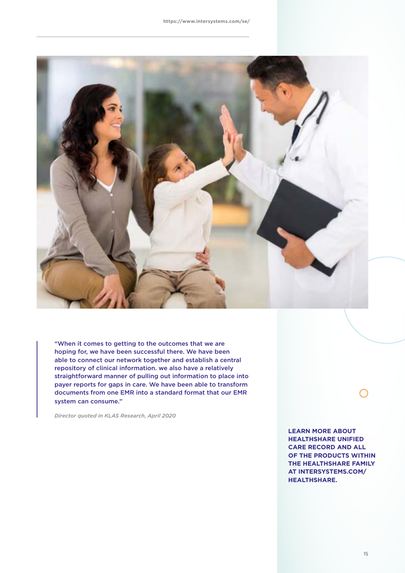

"When it comes to getting to the outcomes that we are hoping for, we have been successful there. We have been able to connect our network together and establish a central repository of clinical information. we also have a relatively straightforward manner of pulling out information to place into payer reports for gaps in care. We have been able to transform documents from one EMR into a standard format that our EMR system can consume."

*Director quoted in KLAS Research, April 2020*

**LEARN MORE ABOUT HEALTHSHARE UNIFIED CARE RECORD AND ALL OF THE PRODUCTS WITHIN THE HEALTHSHARE FAMILY AT INTERSYSTEMS.COM/ HEALTHSHARE.**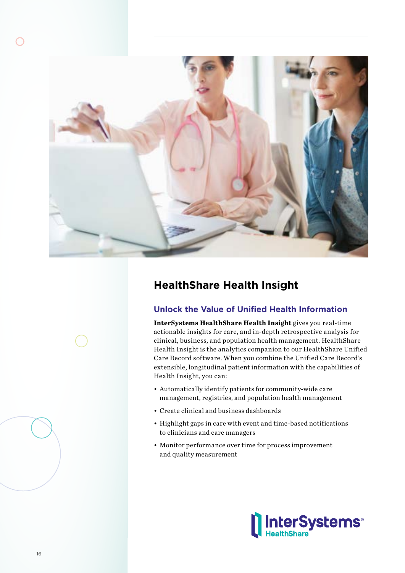

# **HealthShare Health Insight**

# **Unlock the Value of Unified Health Information**

**InterSystems HealthShare Health Insight** gives you real-time actionable insights for care, and in-depth retrospective analysis for clinical, business, and population health management. HealthShare Health Insight is the analytics companion to our HealthShare Unified Care Record software. When you combine the Unified Care Record's extensible, longitudinal patient information with the capabilities of Health Insight, you can:

- Automatically identify patients for community-wide care management, registries, and population health management
- Create clinical and business dashboards
- Highlight gaps in care with event and time-based notifications to clinicians and care managers
- Monitor performance over time for process improvement and quality measurement

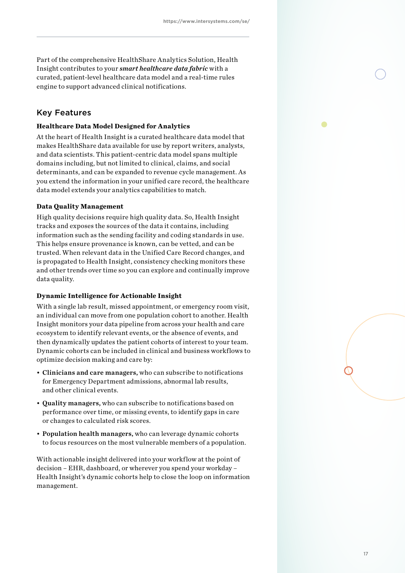Part of the comprehensive HealthShare Analytics Solution, Health Insight contributes to your *smart healthcare data fabric* with a curated, patient-level healthcare data model and a real-time rules engine to support advanced clinical notifications.

## Key Features

### **Healthcare Data Model Designed for Analytics**

At the heart of Health Insight is a curated healthcare data model that makes HealthShare data available for use by report writers, analysts, and data scientists. This patient-centric data model spans multiple domains including, but not limited to clinical, claims, and social determinants, and can be expanded to revenue cycle management. As you extend the information in your unified care record, the healthcare data model extends your analytics capabilities to match.

### **Data Quality Management**

High quality decisions require high quality data. So, Health Insight tracks and exposes the sources of the data it contains, including information such as the sending facility and coding standards in use. This helps ensure provenance is known, can be vetted, and can be trusted. When relevant data in the Unified Care Record changes, and is propagated to Health Insight, consistency checking monitors these and other trends over time so you can explore and continually improve data quality.

#### **Dynamic Intelligence for Actionable Insight**

With a single lab result, missed appointment, or emergency room visit, an individual can move from one population cohort to another. Health Insight monitors your data pipeline from across your health and care ecosystem to identify relevant events, or the absence of events, and then dynamically updates the patient cohorts of interest to your team. Dynamic cohorts can be included in clinical and business workflows to optimize decision making and care by:

- Clinicians and care managers, who can subscribe to notifications for Emergency Department admissions, abnormal lab results, and other clinical events.
- Quality managers, who can subscribe to notifications based on performance over time, or missing events, to identify gaps in care or changes to calculated risk scores.
- Population health managers, who can leverage dynamic cohorts to focus resources on the most vulnerable members of a population.

With actionable insight delivered into your workflow at the point of decision – EHR, dashboard, or wherever you spend your workday – Health Insight's dynamic cohorts help to close the loop on information management.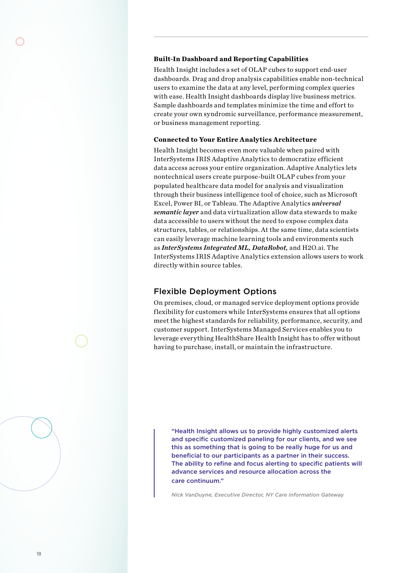#### **Built-In Dashboard and Reporting Capabilities**

Health Insight includes a set of OLAP cubes to support end-user dashboards. Drag and drop analysis capabilities enable non-technical users to examine the data at any level, performing complex queries with ease. Health Insight dashboards display live business metrics. Sample dashboards and templates minimize the time and effort to create your own syndromic surveillance, performance measurement, or business management reporting.

### **Connected to Your Entire Analytics Architecture**

Health Insight becomes even more valuable when paired with InterSystems IRIS Adaptive Analytics to democratize efficient data access across your entire organization. Adaptive Analytics lets nontechnical users create purpose-built OLAP cubes from your populated healthcare data model for analysis and visualization through their business intelligence tool of choice, such as Microsoft Excel, Power BI, or Tableau. The Adaptive Analytics *universal semantic layer* and data virtualization allow data stewards to make data accessible to users without the need to expose complex data structures, tables, or relationships. At the same time, data scientists can easily leverage machine learning tools and environments such as *InterSystems Integrated ML, DataRobot,* and H2O.ai. The InterSystems IRIS Adaptive Analytics extension allows users to work directly within source tables.

### Flexible Deployment Options

On premises, cloud, or managed service deployment options provide flexibility for customers while InterSystems ensures that all options meet the highest standards for reliability, performance, security, and customer support. InterSystems Managed Services enables you to leverage everything HealthShare Health Insight has to offer without having to purchase, install, or maintain the infrastructure.

"Health Insight allows us to provide highly customized alerts and specific customized paneling for our clients, and we see this as something that is going to be really huge for us and beneficial to our participants as a partner in their success. The ability to refine and focus alerting to specific patients will advance services and resource allocation across the care continuum."

*Nick VanDuyne, Executive Director, NY Care information Gateway*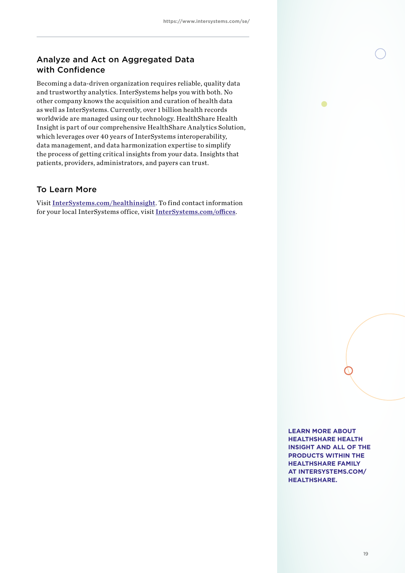# Analyze and Act on Aggregated Data with Confidence

Becoming a data-driven organization requires reliable, quality data and trustworthy analytics. InterSystems helps you with both. No other company knows the acquisition and curation of health data as well as InterSystems. Currently, over 1 billion health records worldwide are managed using our technology. HealthShare Health Insight is part of our comprehensive HealthShare Analytics Solution, which leverages over 40 years of InterSystems interoperability, data management, and data harmonization expertise to simplify the process of getting critical insights from your data. Insights that patients, providers, administrators, and payers can trust.

# To Learn More

Visit InterSystems.com/healthinsight. To find contact information for your local InterSystems office, visit InterSystems.com/offices.

> **LEARN MORE ABOUT HEALTHSHARE HEALTH INSIGHT AND ALL OF THE PRODUCTS WITHIN THE HEALTHSHARE FAMILY AT INTERSYSTEMS.COM/ HEALTHSHARE.**

 $\bullet$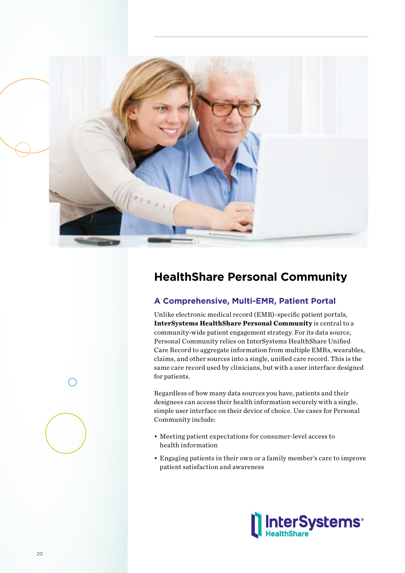

# **HealthShare Personal Community**

# **A Comprehensive, Multi-EMR, Patient Portal**

Unlike electronic medical record (EMR)-specific patient portals, **InterSystems HealthShare Personal Community** is central to a community-wide patient engagement strategy. For its data source, Personal Community relies on InterSystems HealthShare Unified Care Record to aggregate information from multiple EMRs, wearables, claims, and other sources into a single, unified care record. This is the same care record used by clinicians, but with a user interface designed for patients.

Regardless of how many data sources you have, patients and their designees can access their health information securely with a single, simple user interface on their device of choice. Use cases for Personal Community include:

- Meeting patient expectations for consumer-level access to health information
- Engaging patients in their own or a family member's care to improve patient satisfaction and awareness

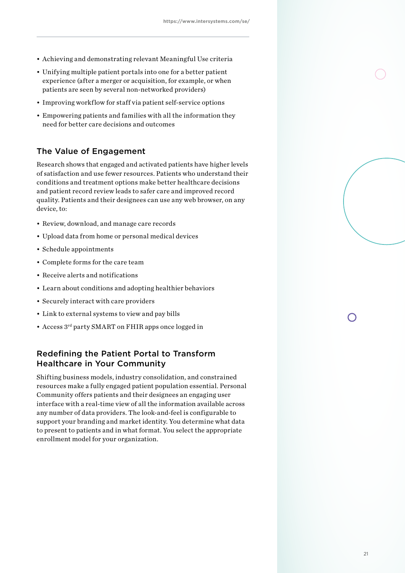- Achieving and demonstrating relevant Meaningful Use criteria
- Unifying multiple patient portals into one for a better patient experience (after a merger or acquisition, for example, or when patients are seen by several non-networked providers)
- Improving workflow for staff via patient self-service options
- Empowering patients and families with all the information they need for better care decisions and outcomes

## The Value of Engagement

Research shows that engaged and activated patients have higher levels of satisfaction and use fewer resources. Patients who understand their conditions and treatment options make better healthcare decisions and patient record review leads to safer care and improved record quality. Patients and their designees can use any web browser, on any device, to:

- Review, download, and manage care records
- Upload data from home or personal medical devices
- Schedule appointments
- Complete forms for the care team
- Receive alerts and notifications
- Learn about conditions and adopting healthier behaviors
- Securely interact with care providers
- Link to external systems to view and pay bills
- Access 3rd party SMART on FHIR apps once logged in

# Redefining the Patient Portal to Transform Healthcare in Your Community

Shifting business models, industry consolidation, and constrained resources make a fully engaged patient population essential. Personal Community offers patients and their designees an engaging user interface with a real-time view of all the information available across any number of data providers. The look-and-feel is configurable to support your branding and market identity. You determine what data to present to patients and in what format. You select the appropriate enrollment model for your organization.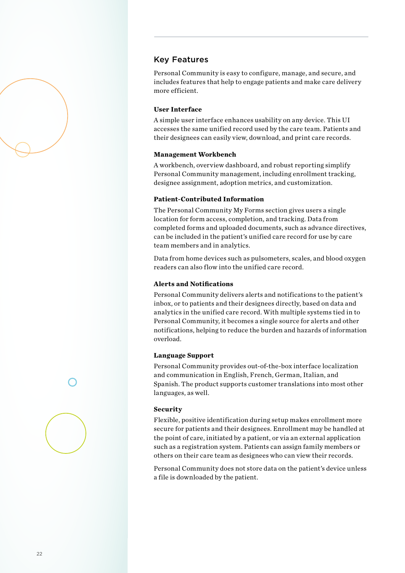

Personal Community is easy to configure, manage, and secure, and includes features that help to engage patients and make care delivery more efficient.

### **User Interface**

A simple user interface enhances usability on any device. This UI accesses the same unified record used by the care team. Patients and their designees can easily view, download, and print care records.

### **Management Workbench**

A workbench, overview dashboard, and robust reporting simplify Personal Community management, including enrollment tracking, designee assignment, adoption metrics, and customization.

#### **Patient-Contributed Information**

The Personal Community My Forms section gives users a single location for form access, completion, and tracking. Data from completed forms and uploaded documents, such as advance directives, can be included in the patient's unified care record for use by care team members and in analytics.

Data from home devices such as pulsometers, scales, and blood oxygen readers can also flow into the unified care record.

#### **Alerts and Notifications**

Personal Community delivers alerts and notifications to the patient's inbox, or to patients and their designees directly, based on data and analytics in the unified care record. With multiple systems tied in to Personal Community, it becomes a single source for alerts and other notifications, helping to reduce the burden and hazards of information overload.

### **Language Support**

Personal Community provides out-of-the-box interface localization and communication in English, French, German, Italian, and Spanish. The product supports customer translations into most other languages, as well.

#### **Security**

Flexible, positive identification during setup makes enrollment more secure for patients and their designees. Enrollment may be handled at the point of care, initiated by a patient, or via an external application such as a registration system. Patients can assign family members or others on their care team as designees who can view their records.

Personal Community does not store data on the patient's device unless a file is downloaded by the patient.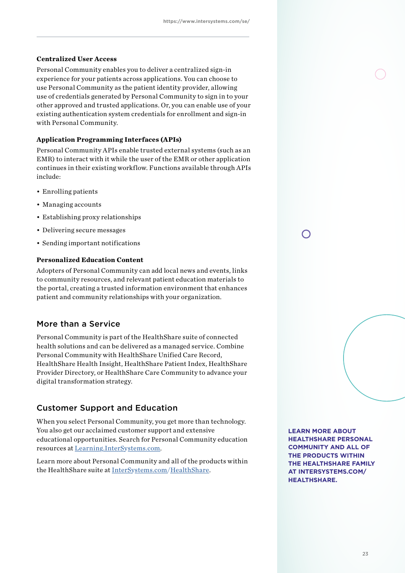### **Centralized User Access**

Personal Community enables you to deliver a centralized sign-in experience for your patients across applications. You can choose to use Personal Community as the patient identity provider, allowing use of credentials generated by Personal Community to sign in to your other approved and trusted applications. Or, you can enable use of your existing authentication system credentials for enrollment and sign-in with Personal Community.

### **Application Programming Interfaces (APIs)**

Personal Community APIs enable trusted external systems (such as an EMR) to interact with it while the user of the EMR or other application continues in their existing workflow. Functions available through APIs include:

- Enrolling patients
- Managing accounts
- Establishing proxy relationships
- Delivering secure messages
- Sending important notifications

### **Personalized Education Content**

Adopters of Personal Community can add local news and events, links to community resources, and relevant patient education materials to the portal, creating a trusted information environment that enhances patient and community relationships with your organization.

### More than a Service

Personal Community is part of the HealthShare suite of connected health solutions and can be delivered as a managed service. Combine Personal Community with HealthShare Unified Care Record, HealthShare Health Insight, HealthShare Patient Index, HealthShare Provider Directory, or HealthShare Care Community to advance your digital transformation strategy.

### Customer Support and Education

When you select Personal Community, you get more than technology. You also get our acclaimed customer support and extensive educational opportunities. Search for Personal Community education resources at Learning.InterSystems.com.

Learn more about Personal Community and all of the products within the HealthShare suite at InterSystems.com/HealthShare.

**LEARN MORE ABOUT HEALTHSHARE PERSONAL COMMUNITY AND ALL OF THE PRODUCTS WITHIN THE HEALTHSHARE FAMILY AT INTERSYSTEMS.COM/ HEALTHSHARE.**

 $\bigcap$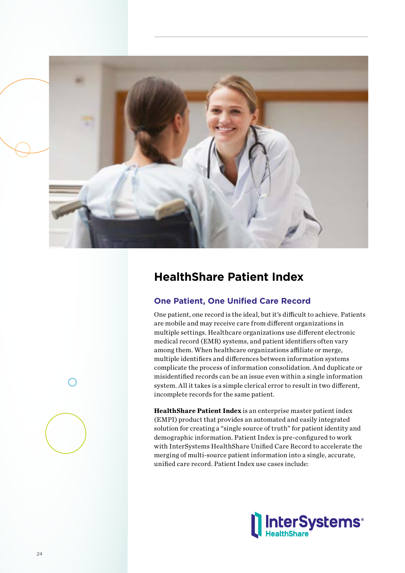

# **HealthShare Patient Index**

# **One Patient, One Unified Care Record**

One patient, one record is the ideal, but it's difficult to achieve. Patients are mobile and may receive care from different organizations in multiple settings. Healthcare organizations use different electronic medical record (EMR) systems, and patient identifiers often vary among them. When healthcare organizations affiliate or merge, multiple identifiers and differences between information systems complicate the process of information consolidation. And duplicate or misidentified records can be an issue even within a single information system. All it takes is a simple clerical error to result in two different, incomplete records for the same patient.

**HealthShare Patient Index** is an enterprise master patient index (EMPI) product that provides an automated and easily integrated solution for creating a "single source of truth" for patient identity and demographic information. Patient Index is pre-configured to work with InterSystems HealthShare Unified Care Record to accelerate the merging of multi-source patient information into a single, accurate, unified care record. Patient Index use cases include:

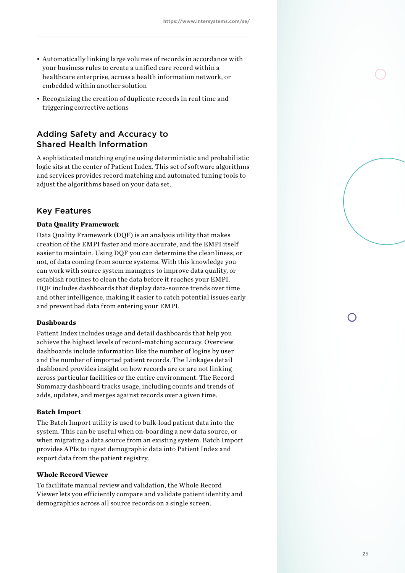- Automatically linking large volumes of records in accordance with your business rules to create a unified care record within a healthcare enterprise, across a health information network, or embedded within another solution
- Recognizing the creation of duplicate records in real time and triggering corrective actions

# Adding Safety and Accuracy to Shared Health Information

A sophisticated matching engine using deterministic and probabilistic logic sits at the center of Patient Index. This set of software algorithms and services provides record matching and automated tuning tools to adjust the algorithms based on your data set.

## Key Features

### **Data Quality Framework**

Data Quality Framework (DQF) is an analysis utility that makes creation of the EMPI faster and more accurate, and the EMPI itself easier to maintain. Using DQF you can determine the cleanliness, or not, of data coming from source systems. With this knowledge you can work with source system managers to improve data quality, or establish routines to clean the data before it reaches your EMPI. DQF includes dashboards that display data-source trends over time and other intelligence, making it easier to catch potential issues early and prevent bad data from entering your EMPI.

### **Dashboards**

Patient Index includes usage and detail dashboards that help you achieve the highest levels of record-matching accuracy. Overview dashboards include information like the number of logins by user and the number of imported patient records. The Linkages detail dashboard provides insight on how records are or are not linking across particular facilities or the entire environment. The Record Summary dashboard tracks usage, including counts and trends of adds, updates, and merges against records over a given time.

#### **Batch Import**

The Batch Import utility is used to bulk-load patient data into the system. This can be useful when on-boarding a new data source, or when migrating a data source from an existing system. Batch Import provides APIs to ingest demographic data into Patient Index and export data from the patient registry.

### **Whole Record Viewer**

To facilitate manual review and validation, the Whole Record Viewer lets you efficiently compare and validate patient identity and demographics across all source records on a single screen.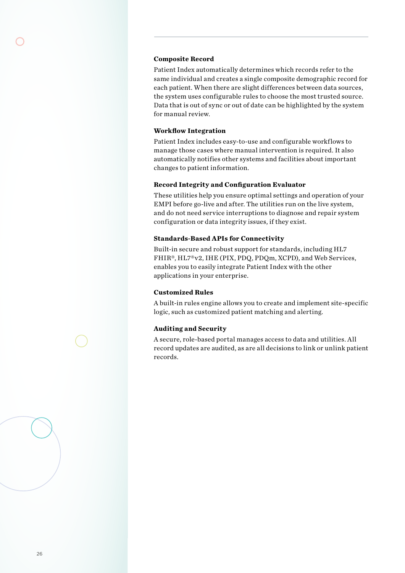#### **Composite Record**

Patient Index automatically determines which records refer to the same individual and creates a single composite demographic record for each patient. When there are slight differences between data sources, the system uses configurable rules to choose the most trusted source. Data that is out of sync or out of date can be highlighted by the system for manual review.

### **Workflow Integration**

Patient Index includes easy-to-use and configurable workflows to manage those cases where manual intervention is required. It also automatically notifies other systems and facilities about important changes to patient information.

### **Record Integrity and Configuration Evaluator**

These utilities help you ensure optimal settings and operation of your EMPI before go-live and after. The utilities run on the live system, and do not need service interruptions to diagnose and repair system configuration or data integrity issues, if they exist.

### **Standards-Based APIs for Connectivity**

Built-in secure and robust support for standards, including HL7 FHIR®, HL7®v2, IHE (PIX, PDQ, PDQm, XCPD), and Web Services, enables you to easily integrate Patient Index with the other applications in your enterprise.

#### **Customized Rules**

A built-in rules engine allows you to create and implement site-specific logic, such as customized patient matching and alerting.

### **Auditing and Security**

A secure, role-based portal manages access to data and utilities. All record updates are audited, as are all decisions to link or unlink patient records.

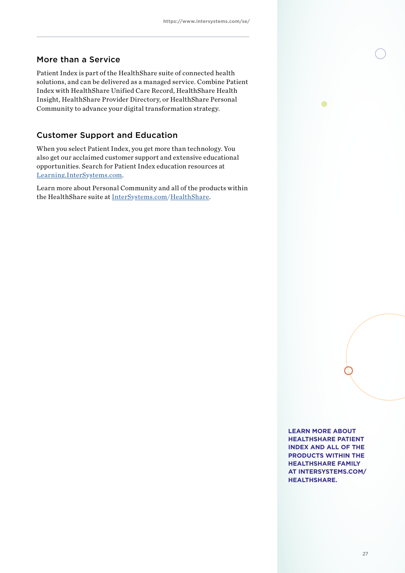# More than a Service

Patient Index is part of the HealthShare suite of connected health solutions, and can be delivered as a managed service. Combine Patient Index with HealthShare Unified Care Record, HealthShare Health Insight, HealthShare Provider Directory, or HealthShare Personal Community to advance your digital transformation strategy.

# Customer Support and Education

When you select Patient Index, you get more than technology. You also get our acclaimed customer support and extensive educational opportunities. Search for Patient Index education resources at Learning.InterSystems.com.

Learn more about Personal Community and all of the products within the HealthShare suite at InterSystems.com/HealthShare.

> **LEARN MORE ABOUT HEALTHSHARE PATIENT INDEX AND ALL OF THE PRODUCTS WITHIN THE HEALTHSHARE FAMILY AT INTERSYSTEMS.COM/ HEALTHSHARE.**

 $\bullet$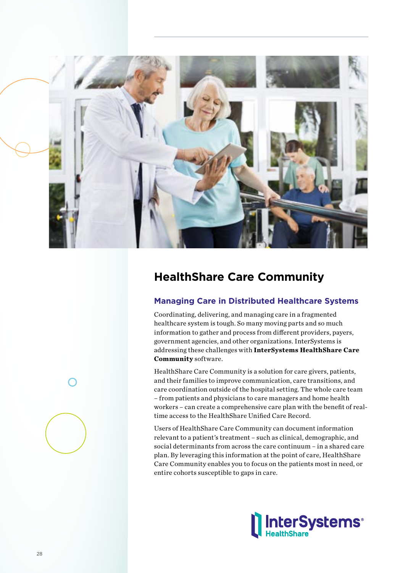

# **HealthShare Care Community**

# **Managing Care in Distributed Healthcare Systems**

Coordinating, delivering, and managing care in a fragmented healthcare system is tough. So many moving parts and so much information to gather and process from different providers, payers, government agencies, and other organizations. InterSystems is addressing these challenges with **InterSystems HealthShare Care Community** software.

HealthShare Care Community is a solution for care givers, patients, and their families to improve communication, care transitions, and care coordination outside of the hospital setting. The whole care team – from patients and physicians to care managers and home health workers – can create a comprehensive care plan with the benefit of realtime access to the HealthShare Unified Care Record.

Users of HealthShare Care Community can document information relevant to a patient's treatment – such as clinical, demographic, and social determinants from across the care continuum – in a shared care plan. By leveraging this information at the point of care, HealthShare Care Community enables you to focus on the patients most in need, or entire cohorts susceptible to gaps in care.

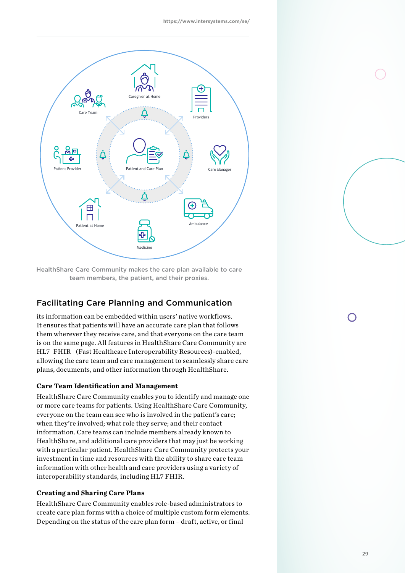

HealthShare Care Community makes the care plan available to care team members, the patient, and their proxies.

# Facilitating Care Planning and Communication **Facilitating Care Planning and Communication**

its information can be embedded within users' native workflows.<br>-It ensures that patients will have an accurate care plan that follows<br>. them wherever they receive care, and that everyone on the care team  $\frac{1}{2}$ is on the same page. All features in HealthShare Care Community are they receive care, and that everyone on the care team is on the same page. HL7 FHIR (Fast Healthcare Interoperability Resources)-enabled, allowing the care team and care management to seamlessly share care plans, documents, and other information through HealthShare.

# **Care Team Identification and Management**

HealthShare Care Community enables you to identify and manage one **Care Team Identification and Management**  or more care teams for patients. Using HealthShare Care Community, everyone on the team can see who is involved in the patient's care; when they're involved; what role they serve; and their contact information. Care teams can include members already known to HealthShare, and additional care providers that may just be working with a particular patient. HealthShare Care Community protects your investment in time and resources with the ability to share care team information with other health and care providers using a variety of and care many care care and care providers using a variety of interoperability standards, including HL7 FHIR. HL7 FHIR.

## **Creating and Sharing Care Plans**

HealthShare Care Community enables role-based administrators to create care plan forms with a choice of multiple custom form elements. Depending on the status of the care plan form – draft, active, or final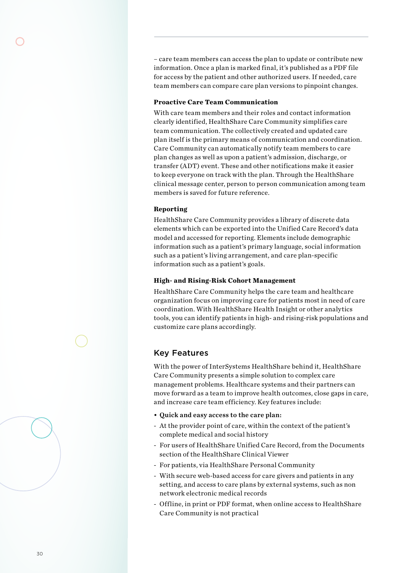– care team members can access the plan to update or contribute new information. Once a plan is marked final, it's published as a PDF file for access by the patient and other authorized users. If needed, care team members can compare care plan versions to pinpoint changes.

#### **Proactive Care Team Communication**

With care team members and their roles and contact information clearly identified, HealthShare Care Community simplifies care team communication. The collectively created and updated care plan itself is the primary means of communication and coordination. Care Community can automatically notify team members to care plan changes as well as upon a patient's admission, discharge, or transfer (ADT) event. These and other notifications make it easier to keep everyone on track with the plan. Through the HealthShare clinical message center, person to person communication among team members is saved for future reference.

### **Reporting**

HealthShare Care Community provides a library of discrete data elements which can be exported into the Unified Care Record's data model and accessed for reporting. Elements include demographic information such as a patient's primary language, social information such as a patient's living arrangement, and care plan-specific information such as a patient's goals.

### **High- and Rising-Risk Cohort Management**

HealthShare Care Community helps the care team and healthcare organization focus on improving care for patients most in need of care coordination. With HealthShare Health Insight or other analytics tools, you can identify patients in high- and rising-risk populations and customize care plans accordingly.

### Key Features

With the power of InterSystems HealthShare behind it, HealthShare Care Community presents a simple solution to complex care management problems. Healthcare systems and their partners can move forward as a team to improve health outcomes, close gaps in care, and increase care team efficiency. Key features include:

- Quick and easy access to the care plan:
- At the provider point of care, within the context of the patient's complete medical and social history
- For users of HealthShare Unified Care Record, from the Documents section of the HealthShare Clinical Viewer
- For patients, via HealthShare Personal Community
- With secure web-based access for care givers and patients in any setting, and access to care plans by external systems, such as non network electronic medical records
- Offline, in print or PDF format, when online access to HealthShare Care Community is not practical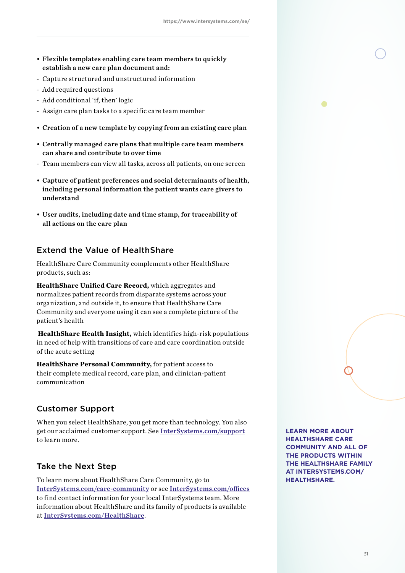- Flexible templates enabling care team members to quickly establish a new care plan document and:
- Capture structured and unstructured information
- Add required questions
- Add conditional 'if, then' logic
- Assign care plan tasks to a specific care team member
- Creation of a new template by copying from an existing care plan
- Centrally managed care plans that multiple care team members can share and contribute to over time
- Team members can view all tasks, across all patients, on one screen
- Capture of patient preferences and social determinants of health, including personal information the patient wants care givers to understand
- User audits, including date and time stamp, for traceability of all actions on the care plan

## Extend the Value of HealthShare

HealthShare Care Community complements other HealthShare products, such as:

**HealthShare Unified Care Record,** which aggregates and normalizes patient records from disparate systems across your organization, and outside it, to ensure that HealthShare Care Community and everyone using it can see a complete picture of the patient's health

**HealthShare Health Insight,** which identifies high-risk populations in need of help with transitions of care and care coordination outside of the acute setting

**HealthShare Personal Community,** for patient access to their complete medical record, care plan, and clinician-patient communication

## Customer Support

When you select HealthShare, you get more than technology. You also get our acclaimed customer support. See InterSystems.com/support to learn more.

### Take the Next Step

To learn more about HealthShare Care Community, go to InterSystems.com/care-community or see InterSystems.com/offices to find contact information for your local InterSystems team. More information about HealthShare and its family of products is available at InterSystems.com/HealthShare.

**LEARN MORE ABOUT HEALTHSHARE CARE COMMUNITY AND ALL OF THE PRODUCTS WITHIN THE HEALTHSHARE FAMILY AT INTERSYSTEMS.COM/ HEALTHSHARE.**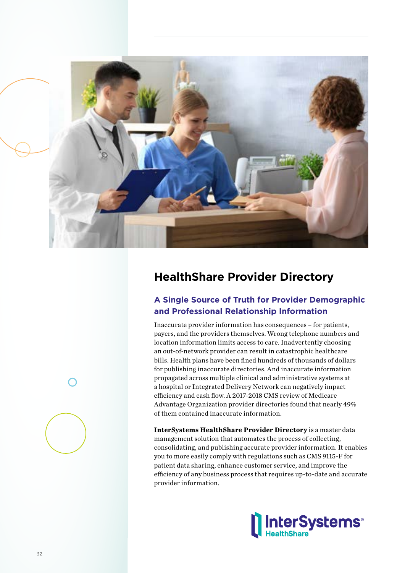

# **HealthShare Provider Directory**

# **A Single Source of Truth for Provider Demographic and Professional Relationship Information**

Inaccurate provider information has consequences – for patients, payers, and the providers themselves. Wrong telephone numbers and location information limits access to care. Inadvertently choosing an out-of-network provider can result in catastrophic healthcare bills. Health plans have been fined hundreds of thousands of dollars for publishing inaccurate directories. And inaccurate information propagated across multiple clinical and administrative systems at a hospital or Integrated Delivery Network can negatively impact efficiency and cash flow. A 2017-2018 CMS review of Medicare Advantage Organization provider directories found that nearly 49% of them contained inaccurate information.

**InterSystems HealthShare Provider Directory** is a master data management solution that automates the process of collecting, consolidating, and publishing accurate provider information. It enables you to more easily comply with regulations such as CMS 9115-F for patient data sharing, enhance customer service, and improve the efficiency of any business process that requires up-to-date and accurate provider information.

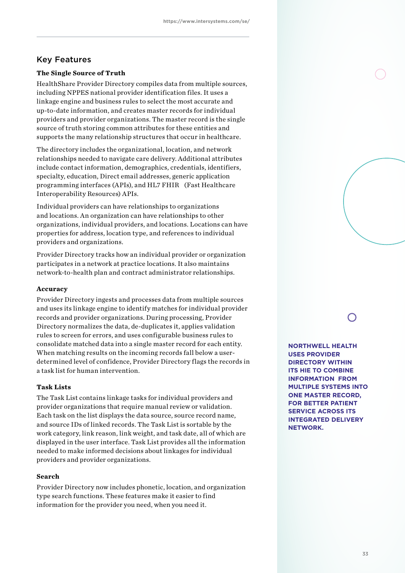## Key Features

### **The Single Source of Truth**

HealthShare Provider Directory compiles data from multiple sources, including NPPES national provider identification files. It uses a linkage engine and business rules to select the most accurate and up-to-date information, and creates master records for individual providers and provider organizations. The master record is the single source of truth storing common attributes for these entities and supports the many relationship structures that occur in healthcare.

The directory includes the organizational, location, and network relationships needed to navigate care delivery. Additional attributes include contact information, demographics, credentials, identifiers, specialty, education, Direct email addresses, generic application programming interfaces (APIs), and HL7 FHIR (Fast Healthcare Interoperability Resources) APIs.

Individual providers can have relationships to organizations and locations. An organization can have relationships to other organizations, individual providers, and locations. Locations can have properties for address, location type, and references to individual providers and organizations.

Provider Directory tracks how an individual provider or organization participates in a network at practice locations. It also maintains network-to-health plan and contract administrator relationships.

#### **Accuracy**

Provider Directory ingests and processes data from multiple sources and uses its linkage engine to identify matches for individual provider records and provider organizations. During processing, Provider Directory normalizes the data, de-duplicates it, applies validation rules to screen for errors, and uses configurable business rules to consolidate matched data into a single master record for each entity. When matching results on the incoming records fall below a userdetermined level of confidence, Provider Directory flags the records in a task list for human intervention.

### **Task Lists**

The Task List contains linkage tasks for individual providers and provider organizations that require manual review or validation. Each task on the list displays the data source, source record name, and source IDs of linked records. The Task List is sortable by the work category, link reason, link weight, and task date, all of which are displayed in the user interface. Task List provides all the information needed to make informed decisions about linkages for individual providers and provider organizations.

### **Search**

Provider Directory now includes phonetic, location, and organization type search functions. These features make it easier to find information for the provider you need, when you need it.

**NORTHWELL HEALTH USES PROVIDER DIRECTORY WITHIN ITS HIE TO COMBINE INFORMATION FROM MULTIPLE SYSTEMS INTO ONE MASTER RECORD, FOR BETTER PATIENT SERVICE ACROSS ITS INTEGRATED DELIVERY NETWORK.**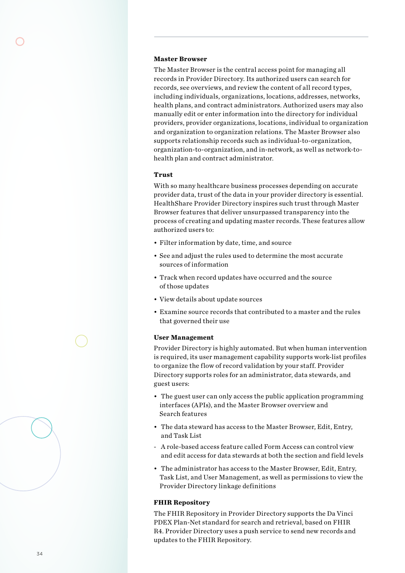#### **Master Browser**

The Master Browser is the central access point for managing all records in Provider Directory. Its authorized users can search for records, see overviews, and review the content of all record types, including individuals, organizations, locations, addresses, networks, health plans, and contract administrators. Authorized users may also manually edit or enter information into the directory for individual providers, provider organizations, locations, individual to organization and organization to organization relations. The Master Browser also supports relationship records such as individual-to-organization, organization-to-organization, and in-network, as well as network-tohealth plan and contract administrator.

### **Trust**

With so many healthcare business processes depending on accurate provider data, trust of the data in your provider directory is essential. HealthShare Provider Directory inspires such trust through Master Browser features that deliver unsurpassed transparency into the process of creating and updating master records. These features allow authorized users to:

- Filter information by date, time, and source
- See and adjust the rules used to determine the most accurate sources of information
- Track when record updates have occurred and the source of those updates
- View details about update sources
- Examine source records that contributed to a master and the rules that governed their use

#### **User Management**

Provider Directory is highly automated. But when human intervention is required, its user management capability supports work-list profiles to organize the flow of record validation by your staff. Provider Directory supports roles for an administrator, data stewards, and guest users:

- The guest user can only access the public application programming interfaces (APIs), and the Master Browser overview and Search features
- The data steward has access to the Master Browser, Edit, Entry, and Task List
- A role-based access feature called Form Access can control view and edit access for data stewards at both the section and field levels
- The administrator has access to the Master Browser, Edit, Entry, Task List, and User Management, as well as permissions to view the Provider Directory linkage definitions

#### **FHIR Repository**

The FHIR Repository in Provider Directory supports the Da Vinci PDEX Plan-Net standard for search and retrieval, based on FHIR R4. Provider Directory uses a push service to send new records and updates to the FHIR Repository.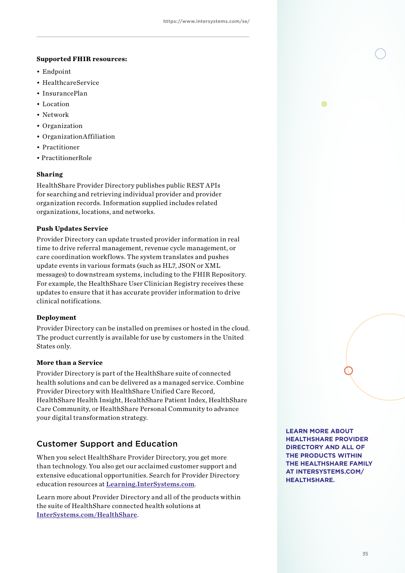#### **Supported FHIR resources:**

- Endpoint
- HealthcareService
- InsurancePlan
- Location
- Network
- Organization
- OrganizationAffiliation
- Practitioner
- PractitionerRole

### **Sharing**

HealthShare Provider Directory publishes public REST APIs for searching and retrieving individual provider and provider organization records. Information supplied includes related organizations, locations, and networks.

### **Push Updates Service**

Provider Directory can update trusted provider information in real time to drive referral management, revenue cycle management, or care coordination workflows. The system translates and pushes update events in various formats (such as HL7, JSON or XML messages) to downstream systems, including to the FHIR Repository. For example, the HealthShare User Clinician Registry receives these updates to ensure that it has accurate provider information to drive clinical notifications.

### **Deployment**

Provider Directory can be installed on premises or hosted in the cloud. The product currently is available for use by customers in the United States only.

### **More than a Service**

Provider Directory is part of the HealthShare suite of connected health solutions and can be delivered as a managed service. Combine Provider Directory with HealthShare Unified Care Record, HealthShare Health Insight, HealthShare Patient Index, HealthShare Care Community, or HealthShare Personal Community to advance your digital transformation strategy.

# Customer Support and Education

When you select HealthShare Provider Directory, you get more than technology. You also get our acclaimed customer support and extensive educational opportunities. Search for Provider Directory education resources at Learning.InterSystems.com.

Learn more about Provider Directory and all of the products within the suite of HealthShare connected health solutions at InterSystems.com/HealthShare.

**LEARN MORE ABOUT HEALTHSHARE PROVIDER DIRECTORY AND ALL OF THE PRODUCTS WITHIN THE HEALTHSHARE FAMILY AT INTERSYSTEMS.COM/ HEALTHSHARE.**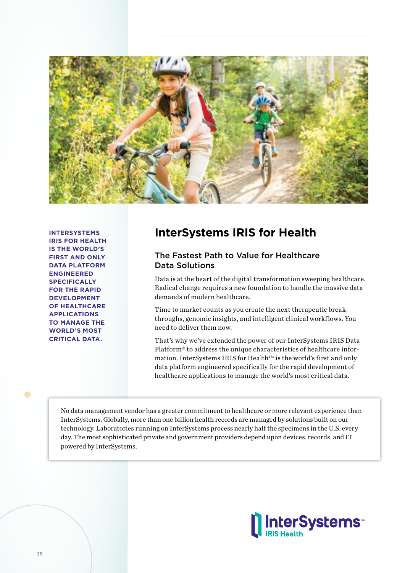

**INTERSYSTEMS IRIS FOR HEALTH IS THE WORLD'S FIRST AND ONLY DATA PLATFORM ENGINEERED SPECIFICALLY FOR THE RAPID DEVELOPMENT OF HEALTHCARE APPLICATIONS TO MANAGE THE WORLD'S MOST CRITICAL DATA.**

# **InterSystems IRIS for Health**

# The Fastest Path to Value for Healthcare Data Solutions

Data is at the heart of the digital transformation sweeping healthcare. Radical change requires a new foundation to handle the massive data demands of modern healthcare.

Time to market counts as you create the next therapeutic breakthroughs, genomic insights, and intelligent clinical workflows. You need to deliver them now.

That's why we've extended the power of our InterSystems IRIS Data Platform® to address the unique characteristics of healthcare information. InterSystems IRIS for Health™ is the world's first and only data platform engineered specifically for the rapid development of healthcare applications to manage the world's most critical data.

No data management vendor has a greater commitment to healthcare or more relevant experience than InterSystems. Globally, more than one billion health records are managed by solutions built on our technology. Laboratories running on InterSystems process nearly half the specimens in the U.S. every day. The most sophisticated private and government providers depend upon devices, records, and IT powered by InterSystems.



 $\bullet$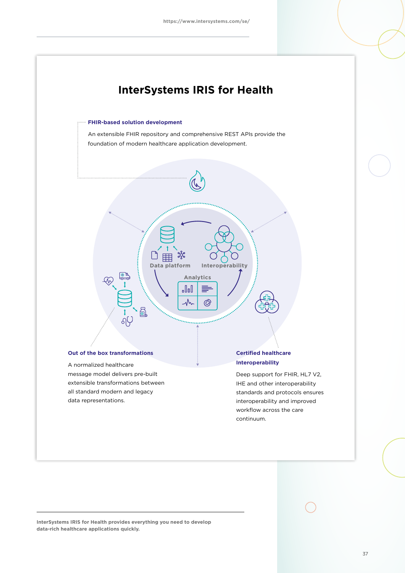

IHE and other interoperability standards and protocols ensures interoperability and improved workflow across the care continuum.

**InterSystems IRIS for Health provides everything you need to develop data-rich healthcare applications quickly.**

extensible transformations between all standard modern and legacy

data representations.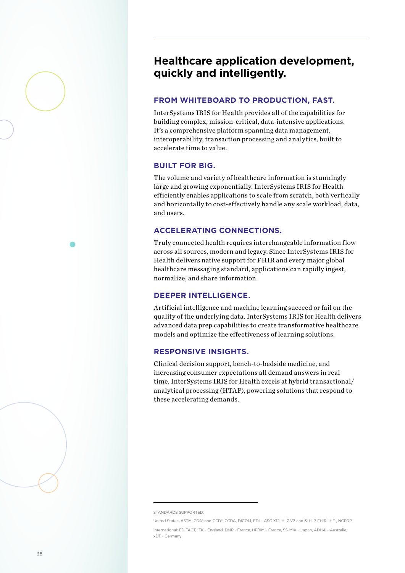# **Healthcare application development, quickly and intelligently.**

## **FROM WHITEBOARD TO PRODUCTION, FAST.**

InterSystems IRIS for Health provides all of the capabilities for building complex, mission-critical, data-intensive applications. It's a comprehensive platform spanning data management, interoperability, transaction processing and analytics, built to accelerate time to value.

### **BUILT FOR BIG.**

The volume and variety of healthcare information is stunningly large and growing exponentially. InterSystems IRIS for Health efficiently enables applications to scale from scratch, both vertically and horizontally to cost-effectively handle any scale workload, data, and users.

### **ACCELERATING CONNECTIONS.**

Truly connected health requires interchangeable information flow across all sources, modern and legacy. Since InterSystems IRIS for Health delivers native support for FHIR and every major global healthcare messaging standard, applications can rapidly ingest, normalize, and share information.

### **DEEPER INTELLIGENCE.**

Artificial intelligence and machine learning succeed or fail on the quality of the underlying data. InterSystems IRIS for Health delivers advanced data prep capabilities to create transformative healthcare models and optimize the effectiveness of learning solutions.

### **RESPONSIVE INSIGHTS.**

Clinical decision support, bench-to-bedside medicine, and increasing consumer expectations all demand answers in real time. InterSystems IRIS for Health excels at hybrid transactional/ analytical processing (HTAP), powering solutions that respond to these accelerating demands.

STANDARDS SUPPORTED:

United States: ASTM, CDA® and CCD®, CCDA, DICOM, EDI - ASC X12, HL7 V2 and 3, HL7 FHIR, IHE, NCPDP International: EDIFACT, ITK - England, DMP - France, HPRIM - France, SS-MIX – Japan, ADHA – Australia, xDT - Germany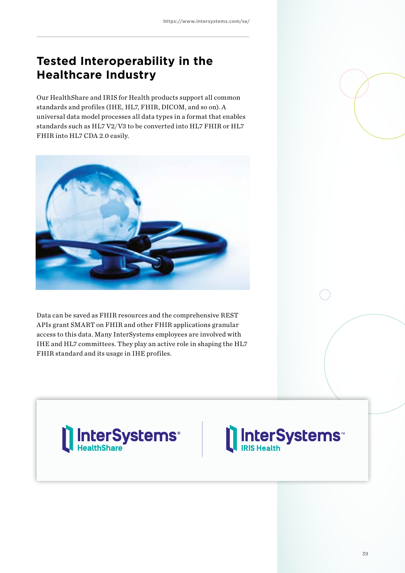# **Tested Interoperability in the Healthcare Industry**

Our HealthShare and IRIS for Health products support all common standards and profiles (IHE, HL7, FHIR, DICOM, and so on). A universal data model processes all data types in a format that enables standards such as HL7 V2/V3 to be converted into HL7 FHIR or HL7 FHIR into HL7 CDA 2.0 easily.



Data can be saved as FHIR resources and the comprehensive REST APIs grant SMART on FHIR and other FHIR applications granular access to this data. Many InterSystems employees are involved with IHE and HL7 committees. They play an active role in shaping the HL7 FHIR standard and its usage in IHE profiles.